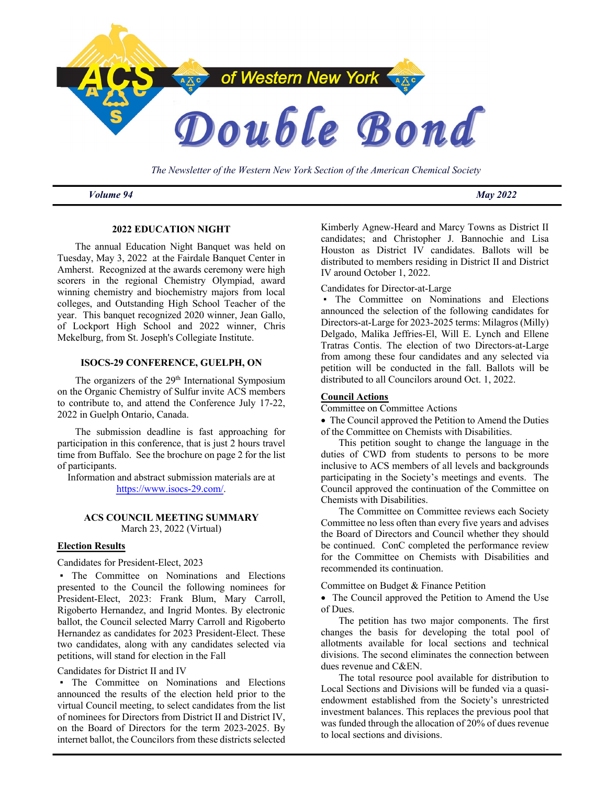

*The Newsletter of the Western New York Section of the American Chemical Society*

*Volume 94 May 2022*

# **2022 EDUCATION NIGHT**

The annual Education Night Banquet was held on Tuesday, May 3, 2022 at the Fairdale Banquet Center in Amherst. Recognized at the awards ceremony were high scorers in the regional Chemistry Olympiad, award winning chemistry and biochemistry majors from local colleges, and Outstanding High School Teacher of the year. This banquet recognized 2020 winner, Jean Gallo, of Lockport High School and 2022 winner, Chris Mekelburg, from St. Joseph's Collegiate Institute.

## **ISOCS-29 CONFERENCE, GUELPH, ON**

The organizers of the 29<sup>th</sup> International Symposium on the Organic Chemistry of Sulfur invite ACS members to contribute to, and attend the Conference July 17-22, 2022 in Guelph Ontario, Canada.

The submission deadline is fast approaching for participation in this conference, that is just 2 hours travel time from Buffalo. See the brochure on page 2 for the list of participants.

Information and abstract submission materials are at https://www.isocs-29.com/.

## **ACS COUNCIL MEETING SUMMARY** March 23, 2022 (Virtual)

## **Election Results**

Candidates for President-Elect, 2023

▪ The Committee on Nominations and Elections presented to the Council the following nominees for President-Elect, 2023: Frank Blum, Mary Carroll, Rigoberto Hernandez, and Ingrid Montes. By electronic ballot, the Council selected Marry Carroll and Rigoberto Hernandez as candidates for 2023 President-Elect. These two candidates, along with any candidates selected via petitions, will stand for election in the Fall

## Candidates for District II and IV

▪ The Committee on Nominations and Elections announced the results of the election held prior to the virtual Council meeting, to select candidates from the list of nominees for Directors from District II and District IV, on the Board of Directors for the term 2023-2025. By internet ballot, the Councilors from these districts selected

Kimberly Agnew-Heard and Marcy Towns as District II candidates; and Christopher J. Bannochie and Lisa Houston as District IV candidates. Ballots will be distributed to members residing in District II and District IV around October 1, 2022.

Candidates for Director-at-Large

▪ The Committee on Nominations and Elections announced the selection of the following candidates for Directors-at-Large for 2023-2025 terms: Milagros (Milly) Delgado, Malika Jeffries-El, Will E. Lynch and Ellene Tratras Contis. The election of two Directors-at-Large from among these four candidates and any selected via petition will be conducted in the fall. Ballots will be distributed to all Councilors around Oct. 1, 2022.

## **Council Actions**

Committee on Committee Actions

• The Council approved the Petition to Amend the Duties of the Committee on Chemists with Disabilities.

This petition sought to change the language in the duties of CWD from students to persons to be more inclusive to ACS members of all levels and backgrounds participating in the Society's meetings and events. The Council approved the continuation of the Committee on Chemists with Disabilities.

The Committee on Committee reviews each Society Committee no less often than every five years and advises the Board of Directors and Council whether they should be continued. ConC completed the performance review for the Committee on Chemists with Disabilities and recommended its continuation.

Committee on Budget & Finance Petition

• The Council approved the Petition to Amend the Use of Dues.

The petition has two major components. The first changes the basis for developing the total pool of allotments available for local sections and technical divisions. The second eliminates the connection between dues revenue and C&EN.

The total resource pool available for distribution to Local Sections and Divisions will be funded via a quasiendowment established from the Society's unrestricted investment balances. This replaces the previous pool that was funded through the allocation of 20% of dues revenue to local sections and divisions.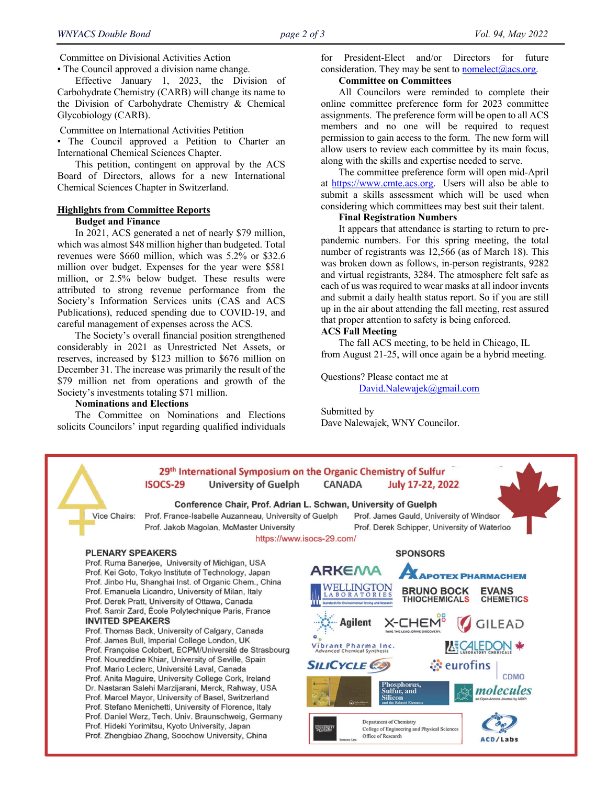Committee on Divisional Activities Action

▪ The Council approved a division name change.

Effective January 1, 2023, the Division of Carbohydrate Chemistry (CARB) will change its name to the Division of Carbohydrate Chemistry & Chemical Glycobiology (CARB).

Committee on International Activities Petition

▪ The Council approved a Petition to Charter an International Chemical Sciences Chapter.

This petition, contingent on approval by the ACS Board of Directors, allows for a new International Chemical Sciences Chapter in Switzerland.

#### **Highlights from Committee Reports Budget and Finance**

In 2021, ACS generated a net of nearly \$79 million, which was almost \$48 million higher than budgeted. Total revenues were \$660 million, which was 5.2% or \$32.6 million over budget. Expenses for the year were \$581 million, or 2.5% below budget. These results were attributed to strong revenue performance from the Society's Information Services units (CAS and ACS Publications), reduced spending due to COVID-19, and careful management of expenses across the ACS.

The Society's overall financial position strengthened considerably in 2021 as Unrestricted Net Assets, or reserves, increased by \$123 million to \$676 million on December 31. The increase was primarily the result of the \$79 million net from operations and growth of the Society's investments totaling \$71 million.

#### **Nominations and Elections**

The Committee on Nominations and Elections solicits Councilors' input regarding qualified individuals

for President-Elect and/or Directors for future consideration. They may be sent to **nomelect** $(\vec{a})$ acs.org.

## **Committee on Committees**

All Councilors were reminded to complete their online committee preference form for 2023 committee assignments. The preference form will be open to all ACS members and no one will be required to request permission to gain access to the form. The new form will allow users to review each committee by its main focus, along with the skills and expertise needed to serve.

The committee preference form will open mid-April at https://www.cmte.acs.org. Users will also be able to submit a skills assessment which will be used when considering which committees may best suit their talent.

#### **Final Registration Numbers**

It appears that attendance is starting to return to prepandemic numbers. For this spring meeting, the total number of registrants was 12,566 (as of March 18). This was broken down as follows, in-person registrants, 9282 and virtual registrants, 3284. The atmosphere felt safe as each of us was required to wear masks at all indoor invents and submit a daily health status report. So if you are still up in the air about attending the fall meeting, rest assured that proper attention to safety is being enforced.

## **ACS Fall Meeting**

The fall ACS meeting, to be held in Chicago, IL from August 21-25, will once again be a hybrid meeting.

# Questions? Please contact me at

David.Nalewajek@gmail.com

Submitted by Dave Nalewajek, WNY Councilor.